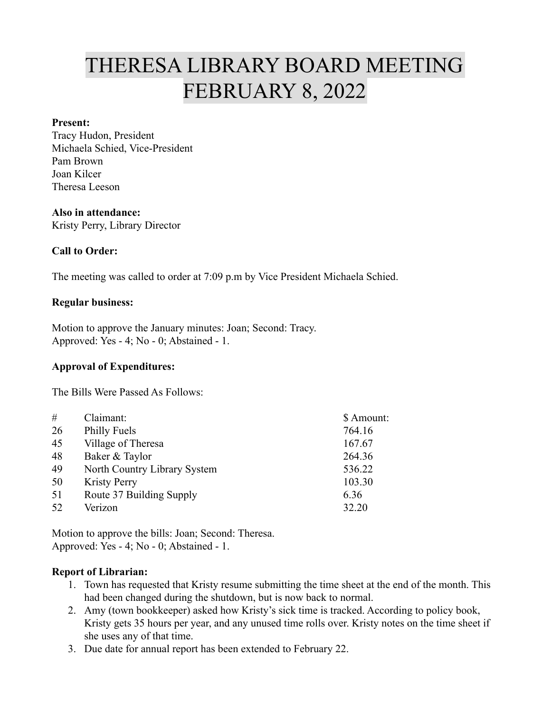# THERESA LIBRARY BOARD MEETING FEBRUARY 8, 2022

#### **Present:**

Tracy Hudon, President Michaela Schied, Vice-President Pam Brown Joan Kilcer Theresa Leeson

#### **Also in attendance:**

Kristy Perry, Library Director

#### **Call to Order:**

The meeting was called to order at 7:09 p.m by Vice President Michaela Schied.

#### **Regular business:**

Motion to approve the January minutes: Joan; Second: Tracy. Approved: Yes - 4; No - 0; Abstained - 1.

#### **Approval of Expenditures:**

The Bills Were Passed As Follows:

| #  | Claimant:                    | \$ Amount: |
|----|------------------------------|------------|
| 26 | <b>Philly Fuels</b>          | 764.16     |
| 45 | Village of Theresa           | 167.67     |
| 48 | Baker & Taylor               | 264.36     |
| 49 | North Country Library System | 536.22     |
| 50 | <b>Kristy Perry</b>          | 103.30     |
| 51 | Route 37 Building Supply     | 6.36       |
| 52 | Verizon                      | 32.20      |
|    |                              |            |

Motion to approve the bills: Joan; Second: Theresa. Approved: Yes - 4; No - 0; Abstained - 1.

#### **Report of Librarian:**

- 1. Town has requested that Kristy resume submitting the time sheet at the end of the month. This had been changed during the shutdown, but is now back to normal.
- 2. Amy (town bookkeeper) asked how Kristy's sick time is tracked. According to policy book, Kristy gets 35 hours per year, and any unused time rolls over. Kristy notes on the time sheet if she uses any of that time.
- 3. Due date for annual report has been extended to February 22.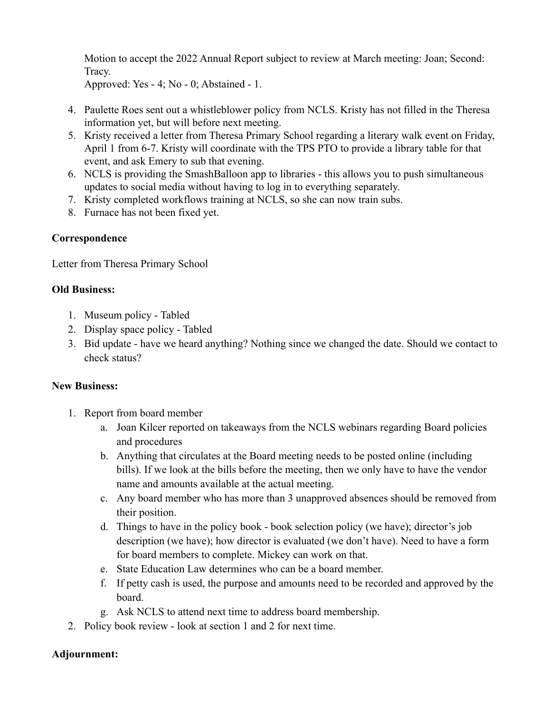Motion to accept the 2022 Annual Report subject to review at March meeting: Joan; Second: Tracy.

Approved: Yes - 4; No - 0; Abstained - 1.

- 4. Paulette Roes sent out a whistleblower policy from NCLS. Kristy has not filled in the Theresa information yet, but will before next meeting.
- 5. Kristy received a letter from Theresa Primary School regarding a literary walk event on Friday, April 1 from 6-7. Kristy will coordinate with the TPS PTO to provide a library table for that event, and ask Emery to sub that evening.
- 6. NCLS is providing the SmashBalloon app to libraries this allows you to push simultaneous updates to social media without having to log in to everything separately.
- 7. Kristy completed workflows training at NCLS, so she can now train subs.
- 8. Furnace has not been fixed yet.

## **Correspondence**

Letter from Theresa Primary School

## **Old Business:**

- 1. Museum policy Tabled
- 2. Display space policy Tabled
- 3. Bid update have we heard anything? Nothing since we changed the date. Should we contact to check status?

## **New Business:**

- 1. Report from board member
	- a. Joan Kilcer reported on takeaways from the NCLS webinars regarding Board policies and procedures
	- b. Anything that circulates at the Board meeting needs to be posted online (including bills). If we look at the bills before the meeting, then we only have to have the vendor name and amounts available at the actual meeting.
	- c. Any board member who has more than 3 unapproved absences should be removed from their position.
	- d. Things to have in the policy book book selection policy (we have); director's job description (we have); how director is evaluated (we don't have). Need to have a form for board members to complete. Mickey can work on that.
	- e. State Education Law determines who can be a board member.
	- f. If petty cash is used, the purpose and amounts need to be recorded and approved by the board.
	- g. Ask NCLS to attend next time to address board membership.
- 2. Policy book review look at section 1 and 2 for next time.

## **Adjournment:**